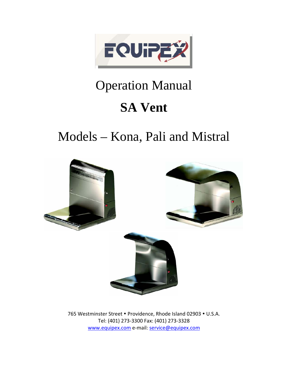

# Operation Manual

# **SA Vent**

# Models – Kona, Pali and Mistral



765 Westminster Street . Providence, Rhode Island 02903 . U.S.A. Tel: (401) 273-3300 Fax: (401) 273-3328 [www.equipex.com](http://www.equipex.com/) e-mail: [service@equipex.com](mailto:service@equipex.com)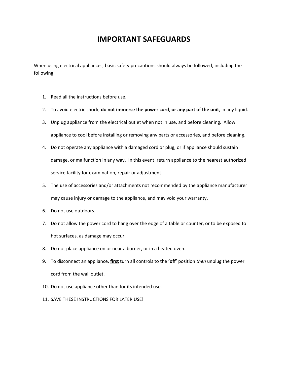## **IMPORTANT SAFEGUARDS**

When using electrical appliances, basic safety precautions should always be followed, including the following:

- 1. Read all the instructions before use.
- 2. To avoid electric shock, **do not immerse the power cord**, **or any part of the unit**, in any liquid.
- 3. Unplug appliance from the electrical outlet when not in use, and before cleaning. Allow appliance to cool before installing or removing any parts or accessories, and before cleaning.
- 4. Do not operate any appliance with a damaged cord or plug, or if appliance should sustain damage, or malfunction in any way. In this event, return appliance to the nearest authorized service facility for examination, repair or adjustment.
- 5. The use of accessories and/or attachments not recommended by the appliance manufacturer may cause injury or damage to the appliance, and may void your warranty.
- 6. Do not use outdoors.
- 7. Do not allow the power cord to hang over the edge of a table or counter, or to be exposed to hot surfaces, as damage may occur.
- 8. Do not place appliance on or near a burner, or in a heated oven.
- 9. To disconnect an appliance, **first** turn all controls to the **'off'** position *then* unplug the power cord from the wall outlet.
- 10. Do not use appliance other than for its intended use.
- 11. SAVE THESE INSTRUCTIONS FOR LATER USE!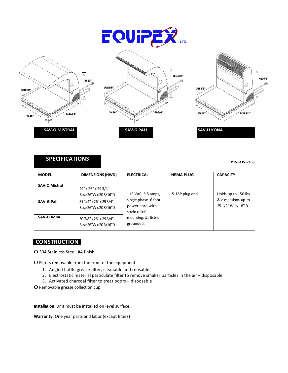







### **SPECIFICATIONS**

*Patent Pending*

| <b>MODEL</b>                              | <b>DIMENSIONS (HWD)</b>                                                                          | <b>ELECTRICAL</b>                                                                                                   | <b>NEMA PLUG</b> | <b>CAPACITY</b>                                                 |
|-------------------------------------------|--------------------------------------------------------------------------------------------------|---------------------------------------------------------------------------------------------------------------------|------------------|-----------------------------------------------------------------|
| <b>SAV-O Mistral</b><br><b>SAV-G Pali</b> | 29" x 26" x 29 3/4"<br>Base 26"W x 20 3/16"D<br>31 1/4" x 26" x 29 3/4"<br>Base 26"W x 20 3/16"D | 115 VAC, 5.5 amps,<br>single phase. 6 foot<br>power cord with<br>strain relief<br>mounting, UL listed,<br>grounded. | 5-15P plug end.  | Holds up to 150 lbs<br>& dimensions up to<br>25 1/2" W by 18" D |
| <b>SAV-U Kona</b>                         | 30 7/8" x 26" x 29 3/4"<br>Base 26"W x 20 3/16"D                                                 |                                                                                                                     |                  |                                                                 |

### **CONSTRUCTION**

O 304 Stainless Steel, #4 finish

O Filters removable from the front of the equipment:

- 1. Angled baffle grease filter, cleanable and reusable
- 2. Electrostatic material particulate filter to remove smaller particles in the air disposable
- 3. Activated charcoal filter to treat odors disposable

O Removable grease collection cup

**Installation:** Unit must be installed on level surface.

**Warranty:** One year parts and labor (except filters)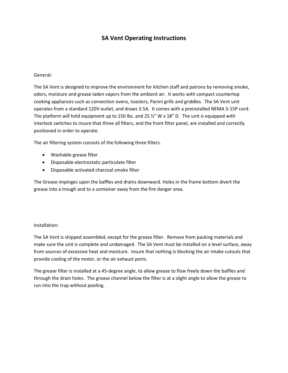## **SA Vent Operating Instructions**

#### General:

The SA Vent is designed to improve the environment for kitchen staff and patrons by removing smoke, odors, moisture and grease laden vapors from the ambient air. It works with compact countertop cooking appliances such as convection ovens, toasters, Panini grills and griddles. The SA Vent unit operates from a standard 120V outlet, and draws 3.5A. It comes with a preinstalled NEMA 5-15P cord. The platform will hold equipment up to 150 lbs. and 25  $\frac{1}{2}$  W x 18" D. The unit is equipped with interlock switches to insure that three all filters, and the front filter panel, are installed and correctly positioned in order to operate.

The air filtering system consists of the following three filters.

- Washable grease filter
- Disposable electrostatic particulate filter
- Disposable activated charcoal smoke filter

The Grease impinges upon the baffles and drains downward. Holes in the frame bottom divert the grease into a trough and to a container away from the fire danger area.

#### Installation:

The SA Vent is shipped assembled, except for the grease filter. Remove from packing materials and make sure the unit is complete and undamaged. The SA Vent must be installed on a level surface, away from sources of excessive heat and moisture. Insure that nothing is blocking the air intake cutouts that provide cooling of the motor, or the air exhaust ports.

The grease filter is installed at a 45-degree angle, to allow grease to flow freely down the baffles and through the drain holes. The grease channel below the filter is at a slight angle to allow the grease to run into the trap without pooling.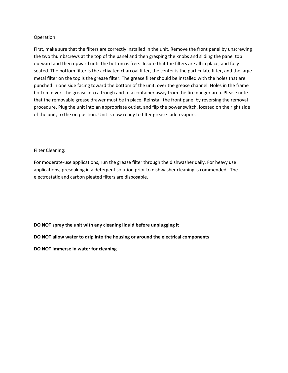#### Operation:

First, make sure that the filters are correctly installed in the unit. Remove the front panel by unscrewing the two thumbscrews at the top of the panel and then grasping the knobs and sliding the panel top outward and then upward until the bottom is free. Insure that the filters are all in place, and fully seated. The bottom filter is the activated charcoal filter, the center is the particulate filter, and the large metal filter on the top is the grease filter. The grease filter should be installed with the holes that are punched in one side facing toward the bottom of the unit, over the grease channel. Holes in the frame bottom divert the grease into a trough and to a container away from the fire danger area. Please note that the removable grease drawer must be in place. Reinstall the front panel by reversing the removal procedure. Plug the unit into an appropriate outlet, and flip the power switch, located on the right side of the unit, to the on position. Unit is now ready to filter grease-laden vapors.

#### Filter Cleaning:

For moderate-use applications, run the grease filter through the dishwasher daily. For heavy use applications, presoaking in a detergent solution prior to dishwasher cleaning is commended. The electrostatic and carbon pleated filters are disposable.

#### **DO NOT spray the unit with any cleaning liquid before unplugging it**

#### **DO NOT allow water to drip into the housing or around the electrical components**

**DO NOT immerse in water for cleaning**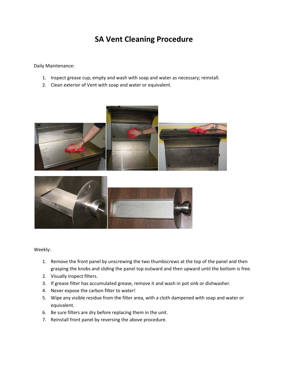# **SA Vent Cleaning Procedure**

Daily Maintenance:

- 1. Inspect grease cup; empty and wash with soap and water as necessary; reinstall.
- 2. Clean exterior of Vent with soap and water or equivalent.





Weekly:

- 1. Remove the front panel by unscrewing the two thumbscrews at the top of the panel and then grasping the knobs and sliding the panel top outward and then upward until the bottom is free.
- 2. Visually inspect filters.
- 3. If grease filter has accumulated grease, remove it and wash in pot sink or dishwasher.
- 4. Never expose the carbon filter to water!
- 5. Wipe any visible residue from the filter area, with a cloth dampened with soap and water or equivalent.
- 6. Be sure filters are dry before replacing them in the unit.
- 7. Reinstall front panel by reversing the above procedure.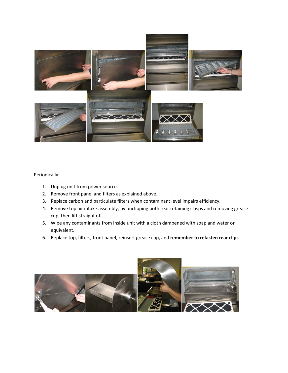

### Periodically:

- 1. Unplug unit from power source.
- 2. Remove front panel and filters as explained above.
- 3. Replace carbon and particulate filters when contaminant level impairs efficiency.
- 4. Remove top air intake assembly, by unclipping both rear retaining clasps and removing grease cup, then lift straight off.
- 5. Wipe any contaminants from inside unit with a cloth dampened with soap and water or equivalent.
- 6. Replace top, filters, front panel, reinsert grease cup, and **remember to refasten rear clips**.

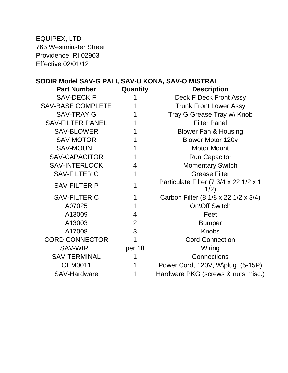EQUIPEX, LTD

765 Westminster Street Providence, RI 02903 Effective 02/01/12

## **SODIR Model SAV-G PALI, SAV-U KONA, SAV-O MISTRAL**

| <b>Part Number</b>       | Quantity | <b>Description</b>                             |
|--------------------------|----------|------------------------------------------------|
| <b>SAV-DECK F</b>        |          | Deck F Deck Front Assy                         |
| <b>SAV-BASE COMPLETE</b> |          | <b>Trunk Front Lower Assy</b>                  |
| <b>SAV-TRAY G</b>        |          | Tray G Grease Tray w\ Knob                     |
| <b>SAV-FILTER PANEL</b>  |          | <b>Filter Panel</b>                            |
| <b>SAV-BLOWER</b>        |          | <b>Blower Fan &amp; Housing</b>                |
| <b>SAV-MOTOR</b>         |          | <b>Blower Motor 120v</b>                       |
| <b>SAV-MOUNT</b>         |          | <b>Motor Mount</b>                             |
| <b>SAV-CAPACITOR</b>     |          | <b>Run Capacitor</b>                           |
| <b>SAV-INTERLOCK</b>     | 4        | <b>Momentary Switch</b>                        |
| <b>SAV-FILTER G</b>      | 1        | <b>Grease Filter</b>                           |
| <b>SAV-FILTER P</b>      |          | Particulate Filter (7 3/4 x 22 1/2 x 1<br>1/2) |
| <b>SAV-FILTER C</b>      |          | Carbon Filter (8 1/8 x 22 1/2 x 3/4)           |
| A07025                   | 1        | <b>On\Off Switch</b>                           |
| A13009                   | 4        | Feet                                           |
| A13003                   | 2        | <b>Bumper</b>                                  |
| A17008                   | 3        | <b>Knobs</b>                                   |
| <b>CORD CONNECTOR</b>    |          | <b>Cord Connection</b>                         |
| <b>SAV-WIRE</b>          | per 1ft  | Wiring                                         |
| <b>SAV-TERMINAL</b>      |          | Connections                                    |
| <b>OEM0011</b>           |          | Power Cord, 120V, W\plug (5-15P)               |
| <b>SAV-Hardware</b>      |          | Hardware PKG (screws & nuts misc.)             |
|                          |          |                                                |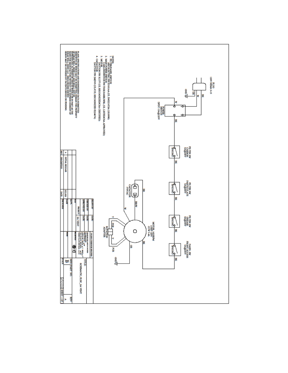